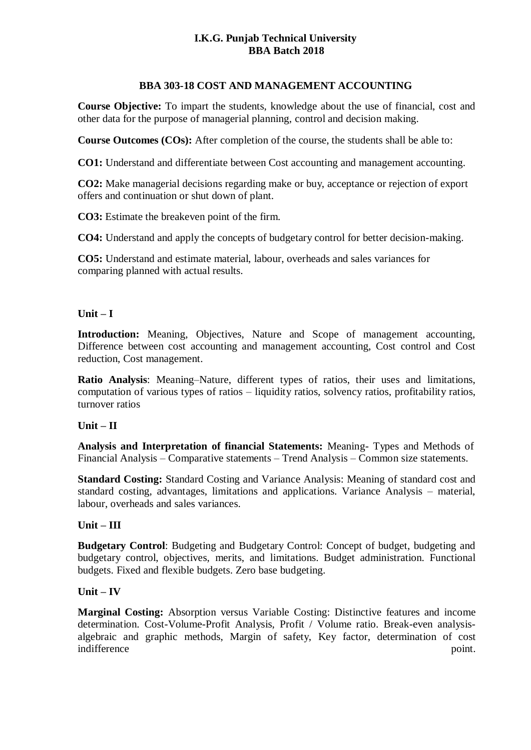## **I.K.G. Punjab Technical University BBA Batch 2018**

## **BBA 303-18 COST AND MANAGEMENT ACCOUNTING**

**Course Objective:** To impart the students, knowledge about the use of financial, cost and other data for the purpose of managerial planning, control and decision making.

**Course Outcomes (COs):** After completion of the course, the students shall be able to:

**CO1:** Understand and differentiate between Cost accounting and management accounting.

**CO2:** Make managerial decisions regarding make or buy, acceptance or rejection of export offers and continuation or shut down of plant.

**CO3:** Estimate the breakeven point of the firm.

**CO4:** Understand and apply the concepts of budgetary control for better decision-making.

**CO5:** Understand and estimate material, labour, overheads and sales variances for comparing planned with actual results.

## **Unit – I**

**Introduction:** Meaning, Objectives, Nature and Scope of management accounting, Difference between cost accounting and management accounting, Cost control and Cost reduction, Cost management.

**Ratio Analysis**: Meaning–Nature, different types of ratios, their uses and limitations, computation of various types of ratios – liquidity ratios, solvency ratios, profitability ratios, turnover ratios

### **Unit – II**

**Analysis and Interpretation of financial Statements:** Meaning- Types and Methods of Financial Analysis – Comparative statements – Trend Analysis – Common size statements.

**Standard Costing:** Standard Costing and Variance Analysis: Meaning of standard cost and standard costing, advantages, limitations and applications. Variance Analysis – material, labour, overheads and sales variances.

# **Unit – III**

**Budgetary Control**: Budgeting and Budgetary Control: Concept of budget, budgeting and budgetary control, objectives, merits, and limitations. Budget administration. Functional budgets. Fixed and flexible budgets. Zero base budgeting.

### **Unit – IV**

**Marginal Costing:** Absorption versus Variable Costing: Distinctive features and income determination. Cost-Volume-Profit Analysis, Profit / Volume ratio. Break-even analysisalgebraic and graphic methods, Margin of safety, Key factor, determination of cost indifference point.